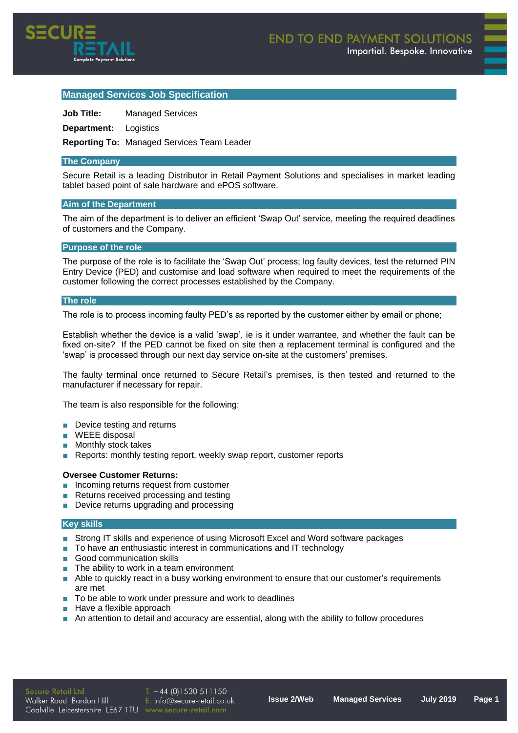

# **Managed Services Job Specification**

**Job Title:** Managed Services

**Department:** Logistics

**Reporting To:** Managed Services Team Leader

### **The Company**

Secure Retail is a leading Distributor in Retail Payment Solutions and specialises in market leading tablet based point of sale hardware and ePOS software.

### **Aim of the Department**

The aim of the department is to deliver an efficient 'Swap Out' service, meeting the required deadlines of customers and the Company.

### **Purpose of the role**

The purpose of the role is to facilitate the 'Swap Out' process; log faulty devices, test the returned PIN Entry Device (PED) and customise and load software when required to meet the requirements of the customer following the correct processes established by the Company.

### **The role**

The role is to process incoming faulty PED's as reported by the customer either by email or phone;

Establish whether the device is a valid 'swap', ie is it under warrantee, and whether the fault can be fixed on-site? If the PED cannot be fixed on site then a replacement terminal is configured and the 'swap' is processed through our next day service on-site at the customers' premises.

The faulty terminal once returned to Secure Retail's premises, is then tested and returned to the manufacturer if necessary for repair.

The team is also responsible for the following:

- Device testing and returns
- **■** WEEE disposal
- Monthly stock takes
- Reports: monthly testing report, weekly swap report, customer reports

## **Oversee Customer Returns:**

- Incoming returns request from customer
- Returns received processing and testing
- Device returns upgrading and processing

#### **Key skills**

- Strong IT skills and experience of using Microsoft Excel and Word software packages
- To have an enthusiastic interest in communications and IT technology
- Good communication skills
- The ability to work in a team environment
- Able to quickly react in a busy working environment to ensure that our customer's requirements are met
- To be able to work under pressure and work to deadlines
- Have a flexible approach
- An attention to detail and accuracy are essential, along with the ability to follow procedures

 $T. +44(0)1530511150$  $E.$  info@secure-retail.co.uk